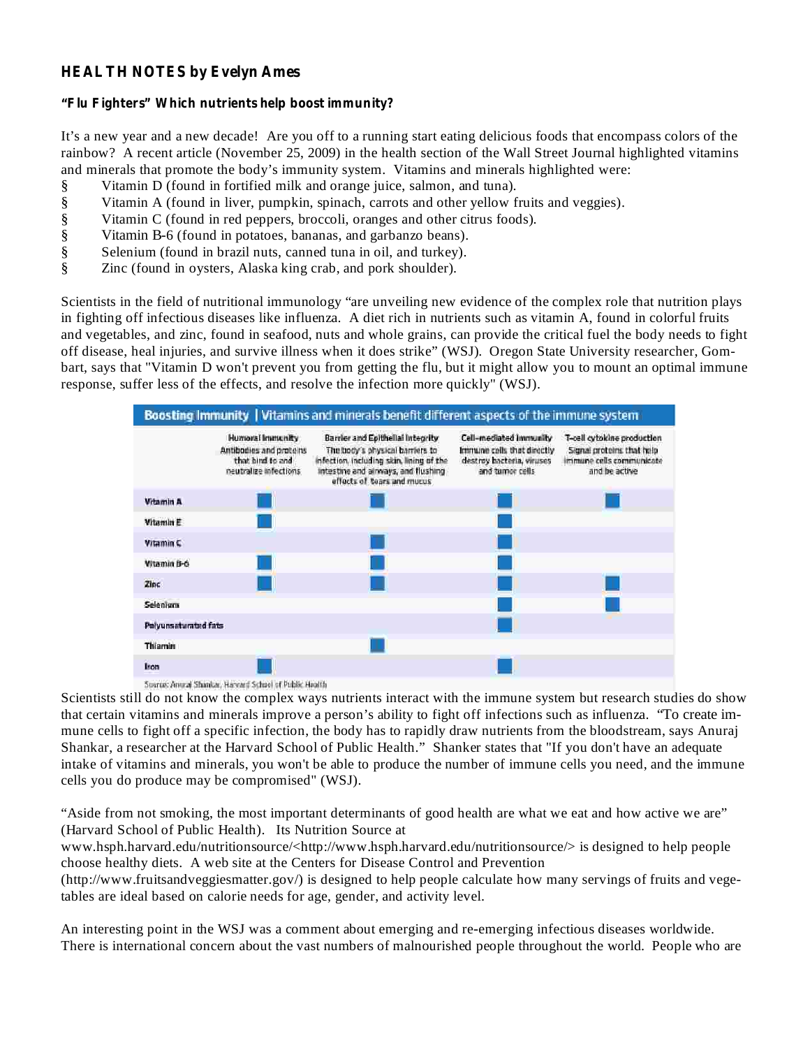## **HEALTH NOTES by Evelyn Ames**

## **"Flu Fighters" Which nutrients help boost immunity?**

It's a new year and a new decade! Are you off to a running start eating delicious foods that encompass colors of the rainbow? A recent article (November 25, 2009) in the health section of the Wall Street Journal highlighted vitamins and minerals that promote the body's immunity system. Vitamins and minerals highlighted were:

- § Vitamin D (found in fortified milk and orange juice, salmon, and tuna).
- § Vitamin A (found in liver, pumpkin, spinach, carrots and other yellow fruits and veggies).
- § Vitamin C (found in red peppers, broccoli, oranges and other citrus foods).
- § Vitamin B-6 (found in potatoes, bananas, and garbanzo beans).
- § Selenium (found in brazil nuts, canned tuna in oil, and turkey).
- § Zinc (found in oysters, Alaska king crab, and pork shoulder).

Scientists in the field of nutritional immunology "are unveiling new evidence of the complex role that nutrition plays in fighting off infectious diseases like influenza. A diet rich in nutrients such as vitamin A, found in colorful fruits and vegetables, and zinc, found in seafood, nuts and whole grains, can provide the critical fuel the body needs to fight off disease, heal injuries, and survive illness when it does strike" (WSJ). Oregon State University researcher, Gombart, says that "Vitamin D won't prevent you from getting the flu, but it might allow you to mount an optimal immune response, suffer less of the effects, and resolve the infection more quickly" (WSJ).



Source: Annual Shankar, Harvard School of Public Health

Scientists still do not know the complex ways nutrients interact with the immune system but research studies do show that certain vitamins and minerals improve a person's ability to fight off infections such as influenza. "To create immune cells to fight off a specific infection, the body has to rapidly draw nutrients from the bloodstream, says Anuraj Shankar, a researcher at the Harvard School of Public Health." Shanker states that "If you don't have an adequate intake of vitamins and minerals, you won't be able to produce the number of immune cells you need, and the immune cells you do produce may be compromised" (WSJ).

"Aside from not smoking, the most important determinants of good health are what we eat and how active we are" (Harvard School of Public Health). Its Nutrition Source at

www.hsph.harvard.edu/nutritionsource/<http://www.hsph.harvard.edu/nutritionsource/> is designed to help people choose healthy diets. A web site at the Centers for Disease Control and Prevention

(http://www.fruitsandveggiesmatter.gov/) is designed to help people calculate how many servings of fruits and vegetables are ideal based on calorie needs for age, gender, and activity level.

An interesting point in the WSJ was a comment about emerging and re-emerging infectious diseases worldwide. There is international concern about the vast numbers of malnourished people throughout the world. People who are